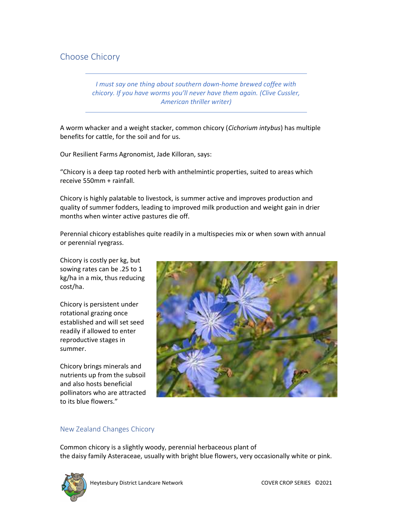# Choose Chicory

I must say one thing about southern down-home brewed coffee with chicory. If you have worms you'll never have them again. (Clive Cussler, American thriller writer)

A worm whacker and a weight stacker, common chicory (Cichorium intybus) has multiple benefits for cattle, for the soil and for us.

Our Resilient Farms Agronomist, Jade Killoran, says:

"Chicory is a deep tap rooted herb with anthelmintic properties, suited to areas which receive 550mm + rainfall.

Chicory is highly palatable to livestock, is summer active and improves production and quality of summer fodders, leading to improved milk production and weight gain in drier months when winter active pastures die off.

Perennial chicory establishes quite readily in a multispecies mix or when sown with annual or perennial ryegrass.

Chicory is costly per kg, but sowing rates can be .25 to 1 kg/ha in a mix, thus reducing cost/ha.

Chicory is persistent under rotational grazing once established and will set seed readily if allowed to enter reproductive stages in summer.

Chicory brings minerals and nutrients up from the subsoil and also hosts beneficial pollinators who are attracted to its blue flowers."



# New Zealand Changes Chicory

Common chicory is a slightly woody, perennial herbaceous plant of the daisy family Asteraceae, usually with bright blue flowers, very occasionally white or pink.

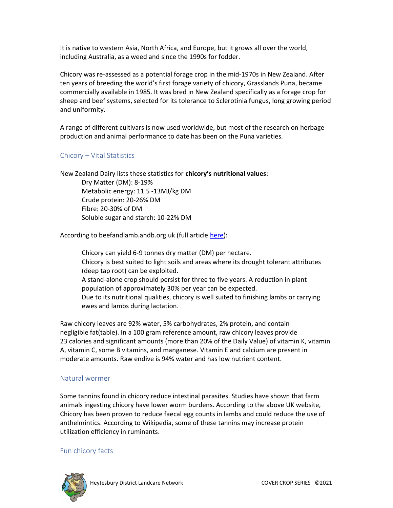It is native to western Asia, North Africa, and Europe, but it grows all over the world, including Australia, as a weed and since the 1990s for fodder.

Chicory was re-assessed as a potential forage crop in the mid-1970s in New Zealand. After ten years of breeding the world's first forage variety of chicory, Grasslands Puna, became commercially available in 1985. It was bred in New Zealand specifically as a forage crop for sheep and beef systems, selected for its tolerance to Sclerotinia fungus, long growing period and uniformity.

A range of different cultivars is now used worldwide, but most of the research on herbage production and animal performance to date has been on the Puna varieties.

## Chicory – Vital Statistics

New Zealand Dairy lists these statistics for chicory's nutritional values:

Dry Matter (DM): 8-19% Metabolic energy: 11.5 -13MJ/kg DM Crude protein: 20-26% DM Fibre: 20-30% of DM Soluble sugar and starch: 10-22% DM

According to beefandlamb.ahdb.org.uk (full article here):

Chicory can yield 6-9 tonnes dry matter (DM) per hectare. Chicory is best suited to light soils and areas where its drought tolerant attributes (deep tap root) can be exploited. A stand-alone crop should persist for three to five years. A reduction in plant population of approximately 30% per year can be expected. Due to its nutritional qualities, chicory is well suited to finishing lambs or carrying ewes and lambs during lactation.

Raw chicory leaves are 92% water, 5% carbohydrates, 2% protein, and contain negligible fat(table). In a 100 gram reference amount, raw chicory leaves provide 23 calories and significant amounts (more than 20% of the Daily Value) of vitamin K, vitamin A, vitamin C, some B vitamins, and manganese. Vitamin E and calcium are present in moderate amounts. Raw endive is 94% water and has low nutrient content.

### Natural wormer

Some tannins found in chicory reduce intestinal parasites. Studies have shown that farm animals ingesting chicory have lower worm burdens. According to the above UK website, Chicory has been proven to reduce faecal egg counts in lambs and could reduce the use of anthelmintics. According to Wikipedia, some of these tannins may increase protein utilization efficiency in ruminants.

### Fun chicory facts

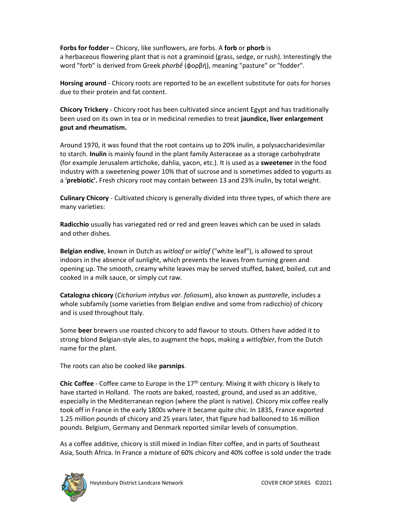Forbs for fodder – Chicory, like sunflowers, are forbs. A forb or phorb is a herbaceous flowering plant that is not a graminoid (grass, sedge, or rush). Interestingly the word "forb" is derived from Greek *phorbḗ* (φορβή), meaning "pasture" or "fodder".

Horsing around - Chicory roots are reported to be an excellent substitute for oats for horses due to their protein and fat content.

Chicory Trickery - Chicory root has been cultivated since ancient Egypt and has traditionally been used on its own in tea or in medicinal remedies to treat **jaundice, liver enlargement** gout and rheumatism.

Around 1970, it was found that the root contains up to 20% inulin, a polysaccharidesimilar to starch. **Inulin** is mainly found in the plant family Asteraceae as a storage carbohydrate (for example Jerusalem artichoke, dahlia, yacon, etc.). It is used as a sweetener in the food industry with a sweetening power 10% that of sucrose and is sometimes added to yogurts as a **'prebiotic'.** Fresh chicory root may contain between 13 and 23% inulin, by total weight.

Culinary Chicory - Cultivated chicory is generally divided into three types, of which there are many varieties:

Radicchio usually has variegated red or red and green leaves which can be used in salads and other dishes.

Belgian endive, known in Dutch as witloof or witlof ("white leaf"), is allowed to sprout indoors in the absence of sunlight, which prevents the leaves from turning green and opening up. The smooth, creamy white leaves may be served stuffed, baked, boiled, cut and cooked in a milk sauce, or simply cut raw.

Catalogna chicory (Cichorium intybus var. foliosum), also known as puntarelle, includes a whole subfamily (some varieties from Belgian endive and some from radicchio) of chicory and is used throughout Italy.

Some beer brewers use roasted chicory to add flavour to stouts. Others have added it to strong blond Belgian-style ales, to augment the hops, making a witlofbier, from the Dutch name for the plant.

The roots can also be cooked like parsnips.

Chic Coffee - Coffee came to Europe in the  $17<sup>th</sup>$  century. Mixing it with chicory is likely to have started in Holland. The roots are baked, roasted, ground, and used as an additive, especially in the Mediterranean region (where the plant is native). Chicory mix coffee really took off in France in the early 1800s where it became quite chic. In 1835, France exported 1.25 million pounds of chicory and 25 years later, that figure had ballooned to 16 million pounds. Belgium, Germany and Denmark reported similar levels of consumption.

As a coffee additive, chicory is still mixed in Indian filter coffee, and in parts of Southeast Asia, South Africa. In France a mixture of 60% chicory and 40% coffee is sold under the trade